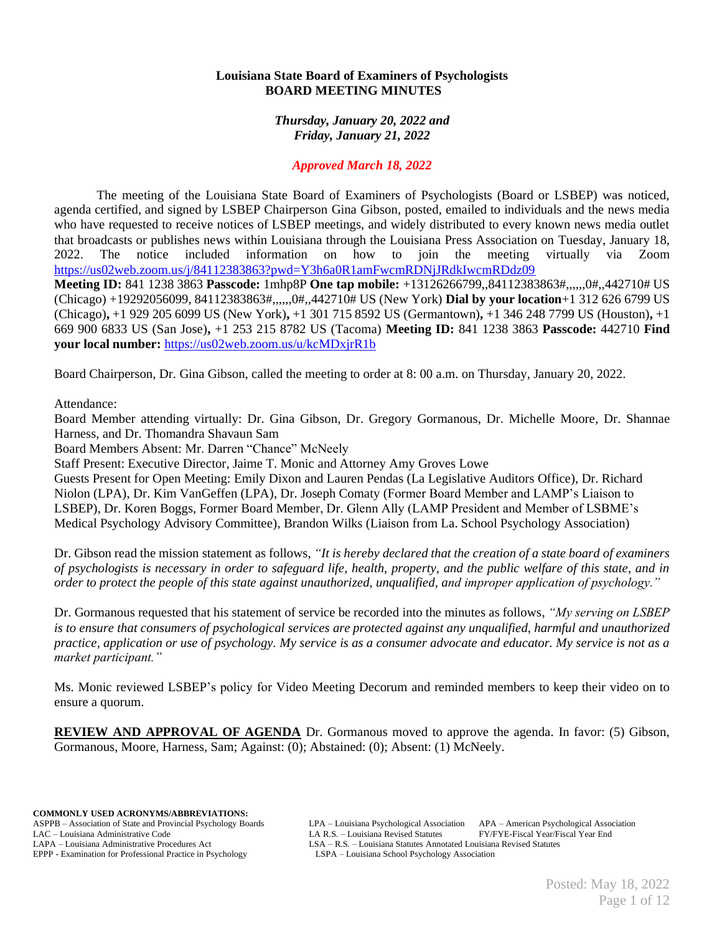### **Louisiana State Board of Examiners of Psychologists BOARD MEETING MINUTES**

*Thursday, January 20, 2022 and Friday, January 21, 2022*

## *Approved March 18, 2022*

The meeting of the Louisiana State Board of Examiners of Psychologists (Board or LSBEP) was noticed, agenda certified, and signed by LSBEP Chairperson Gina Gibson, posted, emailed to individuals and the news media who have requested to receive notices of LSBEP meetings, and widely distributed to every known news media outlet that broadcasts or publishes news within Louisiana through the Louisiana Press Association on Tuesday, January 18, 2022. The notice included information on how to join the meeting virtually via Zoom <https://us02web.zoom.us/j/84112383863?pwd=Y3h6a0R1amFwcmRDNjJRdkIwcmRDdz09> **Meeting ID:** 841 1238 3863 **Passcode:** 1mhp8P **One tap mobile:** +13126266799,,84112383863#,,,,,,0#,,442710# US (Chicago) +19292056099, 84112383863#,,,,,,0#,,442710# US (New York) **Dial by your location**+1 312 626 6799 US (Chicago)**,** +1 929 205 6099 US (New York)**,** +1 301 715 8592 US (Germantown)**,** +1 346 248 7799 US (Houston)**,** +1 669 900 6833 US (San Jose)**,** +1 253 215 8782 US (Tacoma) **Meeting ID:** 841 1238 3863 **Passcode:** 442710 **Find your local number:** <https://us02web.zoom.us/u/kcMDxjrR1b>

Board Chairperson, Dr. Gina Gibson, called the meeting to order at 8: 00 a.m. on Thursday, January 20, 2022.

Attendance:

Board Member attending virtually: Dr. Gina Gibson, Dr. Gregory Gormanous, Dr. Michelle Moore, Dr. Shannae Harness, and Dr. Thomandra Shavaun Sam

Board Members Absent: Mr. Darren "Chance" McNeely

Staff Present: Executive Director, Jaime T. Monic and Attorney Amy Groves Lowe

Guests Present for Open Meeting: Emily Dixon and Lauren Pendas (La Legislative Auditors Office), Dr. Richard Niolon (LPA), Dr. Kim VanGeffen (LPA), Dr. Joseph Comaty (Former Board Member and LAMP's Liaison to LSBEP), Dr. Koren Boggs, Former Board Member, Dr. Glenn Ally (LAMP President and Member of LSBME's Medical Psychology Advisory Committee), Brandon Wilks (Liaison from La. School Psychology Association)

Dr. Gibson read the mission statement as follows, *"It is hereby declared that the creation of a state board of examiners of psychologists is necessary in order to safeguard life, health, property, and the public welfare of this state, and in order to protect the people of this state against unauthorized, unqualified, and improper application of psychology."*

Dr. Gormanous requested that his statement of service be recorded into the minutes as follows, *"My serving on LSBEP is to ensure that consumers of psychological services are protected against any unqualified, harmful and unauthorized practice, application or use of psychology. My service is as a consumer advocate and educator. My service is not as a market participant."*

Ms. Monic reviewed LSBEP's policy for Video Meeting Decorum and reminded members to keep their video on to ensure a quorum.

**REVIEW AND APPROVAL OF AGENDA** Dr. Gormanous moved to approve the agenda. In favor: (5) Gibson, Gormanous, Moore, Harness, Sam; Against: (0); Abstained: (0); Absent: (1) McNeely.

**COMMONLY USED ACRONYMS/ABBREVIATIONS:** EPPP - Examination for Professional Practice in Psychology

ASPPB – Association of State and Provincial Psychology Boards LPA – Louisiana Psychological Association APA – American Psychological Association LA R.S. – Louisiana Administrative Code LA R.S. – Louisiana Revised Statutes FY/FYE-Fiscal Year/Fiscal Year End<br>LAPA – Louisiana Administrative Procedures Act LSA – R.S. – Louisiana Statutes Annotated Louisiana Revised Sta LSA – R.S. – Louisiana Statutes Annotated Louisiana Revised Statutes LSPA – Louisiana School Psychology Association

> Posted: May 18, 2022 Page 1 of 12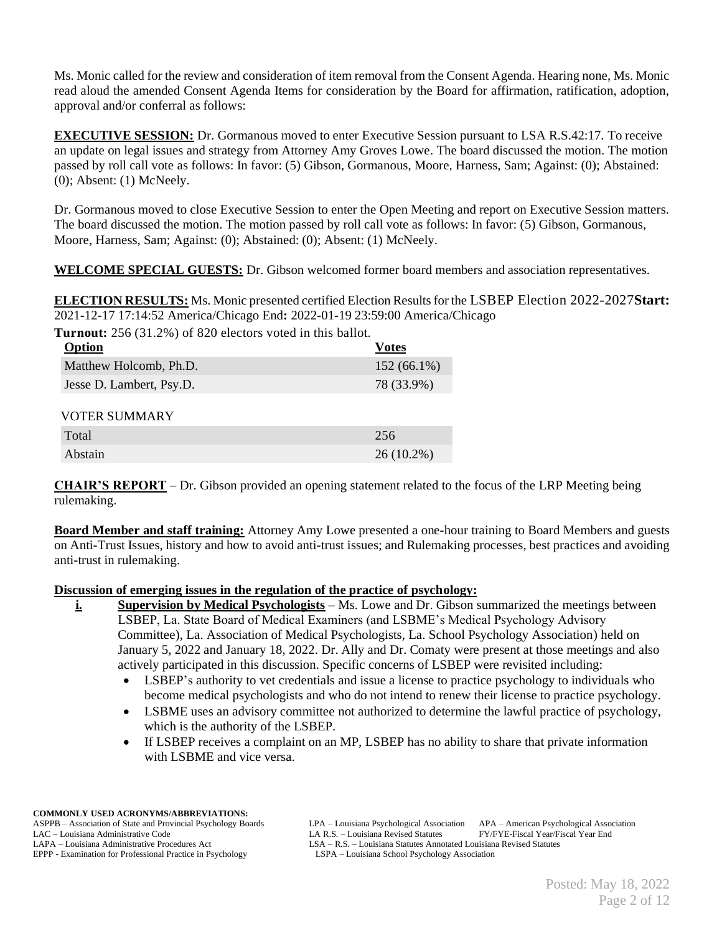Ms. Monic called for the review and consideration of item removal from the Consent Agenda. Hearing none, Ms. Monic read aloud the amended Consent Agenda Items for consideration by the Board for affirmation, ratification, adoption, approval and/or conferral as follows:

**EXECUTIVE SESSION:** Dr. Gormanous moved to enter Executive Session pursuant to LSA R.S.42:17. To receive an update on legal issues and strategy from Attorney Amy Groves Lowe. The board discussed the motion. The motion passed by roll call vote as follows: In favor: (5) Gibson, Gormanous, Moore, Harness, Sam; Against: (0); Abstained: (0); Absent: (1) McNeely.

Dr. Gormanous moved to close Executive Session to enter the Open Meeting and report on Executive Session matters. The board discussed the motion. The motion passed by roll call vote as follows: In favor: (5) Gibson, Gormanous, Moore, Harness, Sam; Against: (0); Abstained: (0); Absent: (1) McNeely.

**WELCOME SPECIAL GUESTS:** Dr. Gibson welcomed former board members and association representatives.

**ELECTION RESULTS:** Ms. Monic presented certified Election Results for the LSBEP Election 2022-2027**Start:** 2021-12-17 17:14:52 America/Chicago End**:** 2022-01-19 23:59:00 America/Chicago

**Turnout:** 256 (31.2%) of 820 electors voted in this ballot.

| Option                   | <b>Votes</b>  |
|--------------------------|---------------|
| Matthew Holcomb, Ph.D.   | $152(66.1\%)$ |
| Jesse D. Lambert, Psy.D. | 78 (33.9%)    |
| <b>VOTER SUMMARY</b>     |               |
| Total                    | 256           |
| Abstain                  | $26(10.2\%)$  |

**CHAIR'S REPORT** – Dr. Gibson provided an opening statement related to the focus of the LRP Meeting being rulemaking.

**Board Member and staff training:** Attorney Amy Lowe presented a one-hour training to Board Members and guests on Anti-Trust Issues, history and how to avoid anti-trust issues; and Rulemaking processes, best practices and avoiding anti-trust in rulemaking.

### **Discussion of emerging issues in the regulation of the practice of psychology:**

**i. Supervision by Medical Psychologists** – Ms. Lowe and Dr. Gibson summarized the meetings between LSBEP, La. State Board of Medical Examiners (and LSBME's Medical Psychology Advisory Committee), La. Association of Medical Psychologists, La. School Psychology Association) held on January 5, 2022 and January 18, 2022. Dr. Ally and Dr. Comaty were present at those meetings and also actively participated in this discussion. Specific concerns of LSBEP were revisited including:

- LSBEP's authority to vet credentials and issue a license to practice psychology to individuals who become medical psychologists and who do not intend to renew their license to practice psychology.
- LSBME uses an advisory committee not authorized to determine the lawful practice of psychology, which is the authority of the LSBEP.
- If LSBEP receives a complaint on an MP, LSBEP has no ability to share that private information with LSBME and vice versa.

ASPPB – Association of State and Provincial Psychology Boards LPA – Louisiana Psychological Association APA – American Psychological Association LA R.S. – Louisiana Administrative Code LA R.S. – Louisiana Revised Statutes FY/FYE-Fiscal Year/Fiscal Year End<br>LAPA – Louisiana Administrative Procedures Act LSA – R.S. – Louisiana Statutes Annotated Louisiana Revised Sta LSA – R.S. – Louisiana Statutes Annotated Louisiana Revised Statutes LSPA – Louisiana School Psychology Association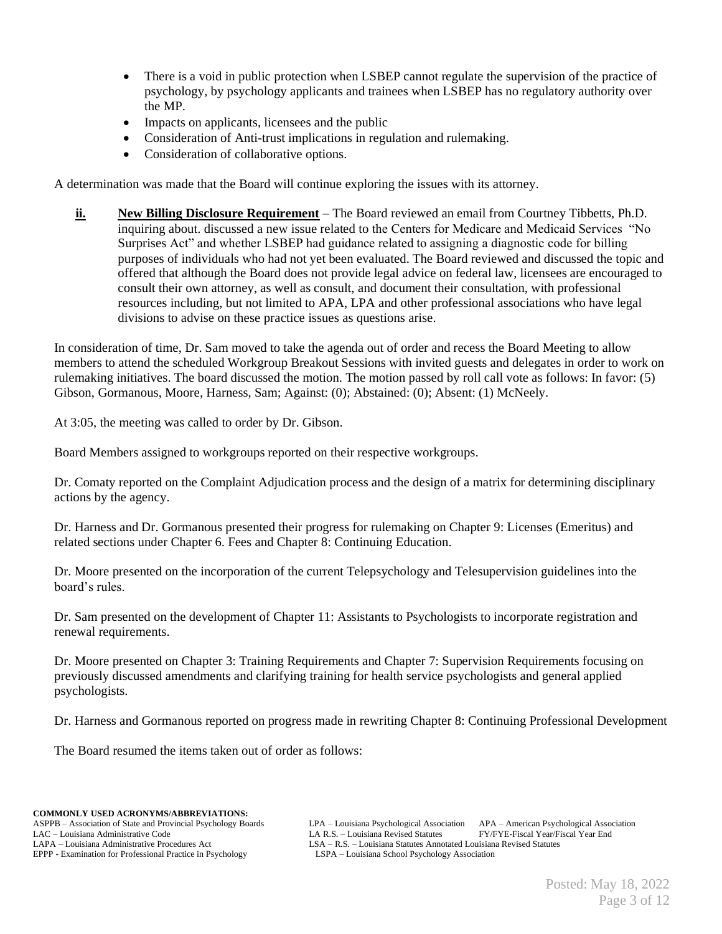- There is a void in public protection when LSBEP cannot regulate the supervision of the practice of psychology, by psychology applicants and trainees when LSBEP has no regulatory authority over the MP.
- Impacts on applicants, licensees and the public
- Consideration of Anti-trust implications in regulation and rulemaking.
- Consideration of collaborative options.

A determination was made that the Board will continue exploring the issues with its attorney.

**ii. New Billing Disclosure Requirement** – The Board reviewed an email from Courtney Tibbetts, Ph.D. inquiring about. discussed a new issue related to the Centers for Medicare and Medicaid Services "No Surprises Act" and whether LSBEP had guidance related to assigning a diagnostic code for billing purposes of individuals who had not yet been evaluated. The Board reviewed and discussed the topic and offered that although the Board does not provide legal advice on federal law, licensees are encouraged to consult their own attorney, as well as consult, and document their consultation, with professional resources including, but not limited to APA, LPA and other professional associations who have legal divisions to advise on these practice issues as questions arise.

In consideration of time, Dr. Sam moved to take the agenda out of order and recess the Board Meeting to allow members to attend the scheduled Workgroup Breakout Sessions with invited guests and delegates in order to work on rulemaking initiatives. The board discussed the motion. The motion passed by roll call vote as follows: In favor: (5) Gibson, Gormanous, Moore, Harness, Sam; Against: (0); Abstained: (0); Absent: (1) McNeely.

At 3:05, the meeting was called to order by Dr. Gibson.

Board Members assigned to workgroups reported on their respective workgroups.

Dr. Comaty reported on the Complaint Adjudication process and the design of a matrix for determining disciplinary actions by the agency.

Dr. Harness and Dr. Gormanous presented their progress for rulemaking on Chapter 9: Licenses (Emeritus) and related sections under Chapter 6. Fees and Chapter 8: Continuing Education.

Dr. Moore presented on the incorporation of the current Telepsychology and Telesupervision guidelines into the board's rules.

Dr. Sam presented on the development of Chapter 11: Assistants to Psychologists to incorporate registration and renewal requirements.

Dr. Moore presented on Chapter 3: Training Requirements and Chapter 7: Supervision Requirements focusing on previously discussed amendments and clarifying training for health service psychologists and general applied psychologists.

Dr. Harness and Gormanous reported on progress made in rewriting Chapter 8: Continuing Professional Development

The Board resumed the items taken out of order as follows: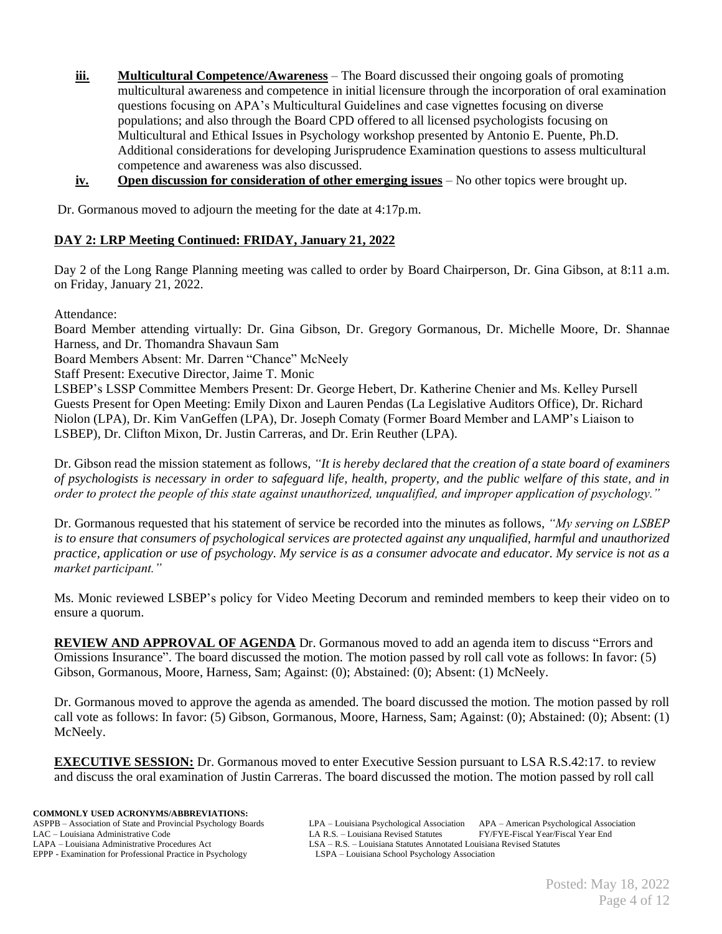- **iii. Multicultural Competence/Awareness** The Board discussed their ongoing goals of promoting multicultural awareness and competence in initial licensure through the incorporation of oral examination questions focusing on APA's Multicultural Guidelines and case vignettes focusing on diverse populations; and also through the Board CPD offered to all licensed psychologists focusing on Multicultural and Ethical Issues in Psychology workshop presented by Antonio E. Puente, Ph.D. Additional considerations for developing Jurisprudence Examination questions to assess multicultural competence and awareness was also discussed.
- **iv. Open discussion for consideration of other emerging issues** No other topics were brought up.

Dr. Gormanous moved to adjourn the meeting for the date at 4:17p.m.

## **DAY 2: LRP Meeting Continued: FRIDAY, January 21, 2022**

Day 2 of the Long Range Planning meeting was called to order by Board Chairperson, Dr. Gina Gibson, at 8:11 a.m. on Friday, January 21, 2022.

Attendance:

Board Member attending virtually: Dr. Gina Gibson, Dr. Gregory Gormanous, Dr. Michelle Moore, Dr. Shannae Harness, and Dr. Thomandra Shavaun Sam

Board Members Absent: Mr. Darren "Chance" McNeely

Staff Present: Executive Director, Jaime T. Monic

LSBEP's LSSP Committee Members Present: Dr. George Hebert, Dr. Katherine Chenier and Ms. Kelley Pursell Guests Present for Open Meeting: Emily Dixon and Lauren Pendas (La Legislative Auditors Office), Dr. Richard Niolon (LPA), Dr. Kim VanGeffen (LPA), Dr. Joseph Comaty (Former Board Member and LAMP's Liaison to LSBEP), Dr. Clifton Mixon, Dr. Justin Carreras, and Dr. Erin Reuther (LPA).

Dr. Gibson read the mission statement as follows, *"It is hereby declared that the creation of a state board of examiners of psychologists is necessary in order to safeguard life, health, property, and the public welfare of this state, and in order to protect the people of this state against unauthorized, unqualified, and improper application of psychology."*

Dr. Gormanous requested that his statement of service be recorded into the minutes as follows, *"My serving on LSBEP is to ensure that consumers of psychological services are protected against any unqualified, harmful and unauthorized practice, application or use of psychology. My service is as a consumer advocate and educator. My service is not as a market participant."*

Ms. Monic reviewed LSBEP's policy for Video Meeting Decorum and reminded members to keep their video on to ensure a quorum.

**REVIEW AND APPROVAL OF AGENDA** Dr. Gormanous moved to add an agenda item to discuss "Errors and Omissions Insurance". The board discussed the motion. The motion passed by roll call vote as follows: In favor: (5) Gibson, Gormanous, Moore, Harness, Sam; Against: (0); Abstained: (0); Absent: (1) McNeely.

Dr. Gormanous moved to approve the agenda as amended. The board discussed the motion. The motion passed by roll call vote as follows: In favor: (5) Gibson, Gormanous, Moore, Harness, Sam; Against: (0); Abstained: (0); Absent: (1) McNeely.

**EXECUTIVE SESSION:** Dr. Gormanous moved to enter Executive Session pursuant to LSA R.S.42:17. to review and discuss the oral examination of Justin Carreras. The board discussed the motion. The motion passed by roll call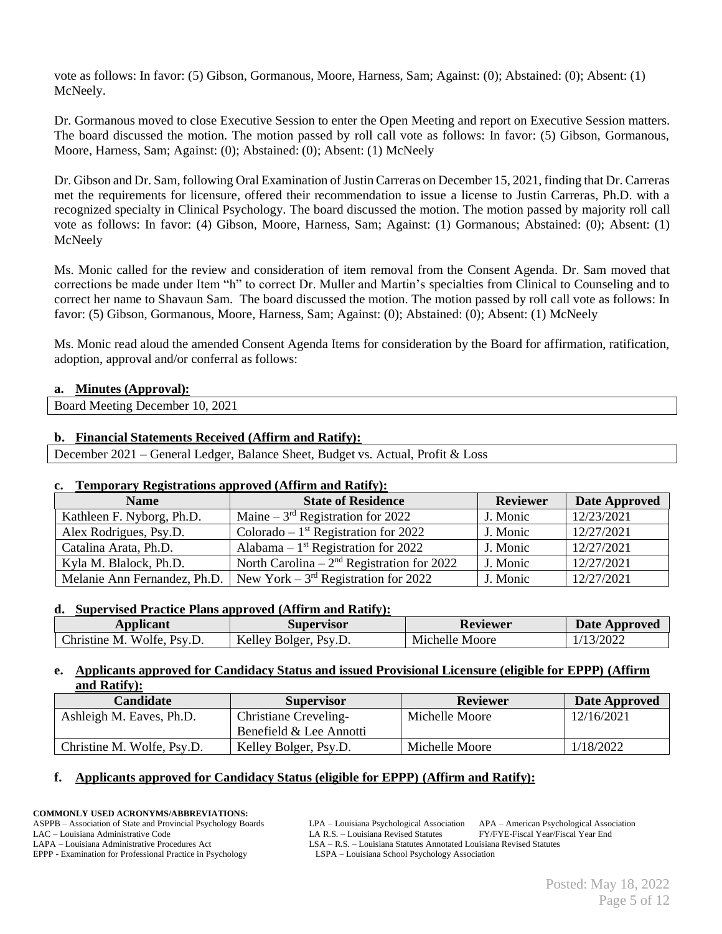vote as follows: In favor: (5) Gibson, Gormanous, Moore, Harness, Sam; Against: (0); Abstained: (0); Absent: (1) McNeely.

Dr. Gormanous moved to close Executive Session to enter the Open Meeting and report on Executive Session matters. The board discussed the motion. The motion passed by roll call vote as follows: In favor: (5) Gibson, Gormanous, Moore, Harness, Sam; Against: (0); Abstained: (0); Absent: (1) McNeely

Dr. Gibson and Dr. Sam, following Oral Examination of Justin Carreras on December 15, 2021, finding that Dr. Carreras met the requirements for licensure, offered their recommendation to issue a license to Justin Carreras, Ph.D. with a recognized specialty in Clinical Psychology. The board discussed the motion. The motion passed by majority roll call vote as follows: In favor: (4) Gibson, Moore, Harness, Sam; Against: (1) Gormanous; Abstained: (0); Absent: (1) McNeely

Ms. Monic called for the review and consideration of item removal from the Consent Agenda. Dr. Sam moved that corrections be made under Item "h" to correct Dr. Muller and Martin's specialties from Clinical to Counseling and to correct her name to Shavaun Sam. The board discussed the motion. The motion passed by roll call vote as follows: In favor: (5) Gibson, Gormanous, Moore, Harness, Sam; Against: (0); Abstained: (0); Absent: (1) McNeely

Ms. Monic read aloud the amended Consent Agenda Items for consideration by the Board for affirmation, ratification, adoption, approval and/or conferral as follows:

### **a. Minutes (Approval):**

Board Meeting December 10, 2021

## **b. Financial Statements Received (Affirm and Ratify):**

December 2021 – General Ledger, Balance Sheet, Budget vs. Actual, Profit & Loss

### **c. Temporary Registrations approved (Affirm and Ratify):**

| <b>Name</b>                  | <b>State of Residence</b>                    | <b>Reviewer</b> | <b>Date Approved</b> |
|------------------------------|----------------------------------------------|-----------------|----------------------|
| Kathleen F. Nyborg, Ph.D.    | Maine $-3rd$ Registration for 2022           | J. Monic        | 12/23/2021           |
| Alex Rodrigues, Psy.D.       | Colorado – $1st$ Registration for 2022       | J. Monic        | 12/27/2021           |
| Catalina Arata, Ph.D.        | Alabama – $1st$ Registration for 2022        | J. Monic        | 12/27/2021           |
| Kyla M. Blalock, Ph.D.       | North Carolina – $2nd$ Registration for 2022 | J. Monic        | 12/27/2021           |
| Melanie Ann Fernandez, Ph.D. | New York – $3rd$ Registration for 2022       | J. Monic        | 12/27/2021           |

### **d. Supervised Practice Plans approved (Affirm and Ratify):**

| <b>Applicant</b>                 | Supervisor                                     | <b>Reviewer</b> | <b>Date Approved</b> |
|----------------------------------|------------------------------------------------|-----------------|----------------------|
| Wolfe.<br>Christine M.<br>Psv.D. | Kelley <sup>*</sup><br>PSV.L.<br><b>Bolger</b> | Michelle Moore  | 13/2022              |

### **e. Applicants approved for Candidacy Status and issued Provisional Licensure (eligible for EPPP) (Affirm and Ratify):**

| Candidate                  | <b>Supervisor</b>       | <b>Reviewer</b> | Date Approved |
|----------------------------|-------------------------|-----------------|---------------|
| Ashleigh M. Eaves, Ph.D.   | Christiane Creveling-   | Michelle Moore  | 12/16/2021    |
|                            | Benefield & Lee Annotti |                 |               |
| Christine M. Wolfe, Psy.D. | Kelley Bolger, Psy.D.   | Michelle Moore  | 1/18/2022     |

### **f. Applicants approved for Candidacy Status (eligible for EPPP) (Affirm and Ratify):**

**COMMONLY USED ACRONYMS/ABBREVIATIONS:**

LAPA – Louisiana Administrative Procedures Act LSA – R.S. – Louisiana Statutes Annotated Louisiana Revised Statutes EPPP - Examination for Professional Practice in Psychology (LSPA – Louisiana School Psychology Association EPPP - Examination for Professional Practice in Psychology

ASPPB – Association of State and Provincial Psychology Boards LPA – Louisiana Psychological Association APA – American Psychological Association LAC – Louisiana Administrative Code LA R.S. – Louisiana Revised Statutes FY/FYE-Fiscal Year/Fiscal Year End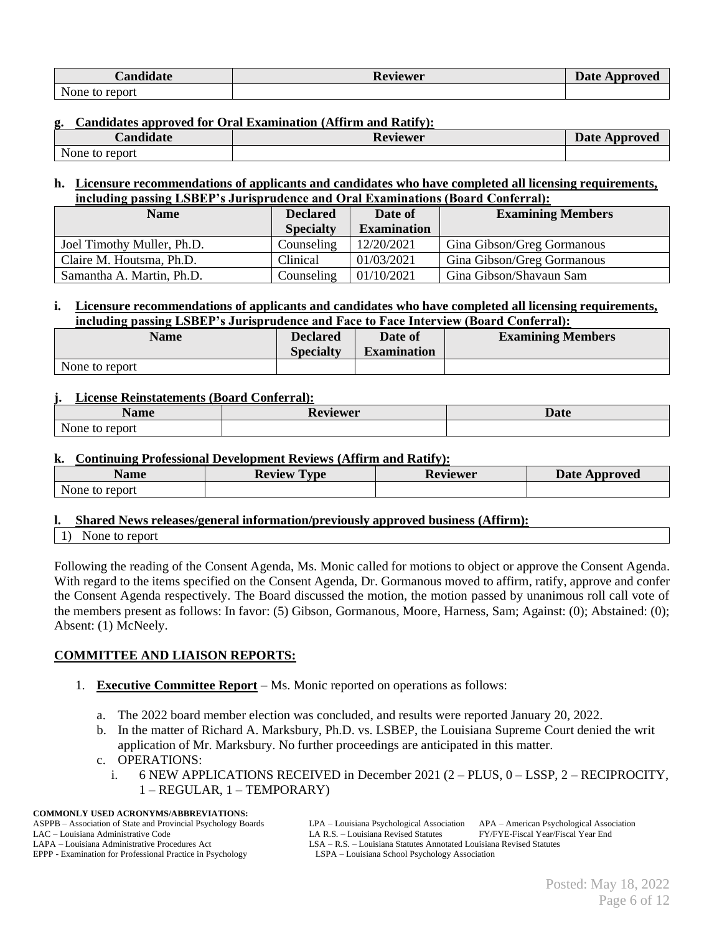| <b>Candidate</b> | Reviewer | <b>Date Approved</b> |
|------------------|----------|----------------------|
| None to report   |          |                      |

#### **g. Candidates approved for Oral Examination (Affirm and Ratify):**

| <i>C</i> andidate    | <b>Reviewer</b> | <b>Date</b><br>` Approved |
|----------------------|-----------------|---------------------------|
| None<br>report<br>to |                 |                           |

#### **h. Licensure recommendations of applicants and candidates who have completed all licensing requirements, including passing LSBEP's Jurisprudence and Oral Examinations (Board Conferral):**

| <b>Name</b>                | <b>Declared</b>  | Date of            | <b>Examining Members</b>   |
|----------------------------|------------------|--------------------|----------------------------|
|                            | <b>Specialty</b> | <b>Examination</b> |                            |
| Joel Timothy Muller, Ph.D. | Counseling       | 12/20/2021         | Gina Gibson/Greg Gormanous |
| Claire M. Houtsma, Ph.D.   | Clinical         | 01/03/2021         | Gina Gibson/Greg Gormanous |
| Samantha A. Martin, Ph.D.  | Counseling       | 01/10/2021         | Gina Gibson/Shavaun Sam    |

#### **i. Licensure recommendations of applicants and candidates who have completed all licensing requirements, including passing LSBEP's Jurisprudence and Face to Face Interview (Board Conferral):**

| <b>Name</b>    | <b>Declared</b><br><b>Specialty</b> | Date of<br><b>Examination</b> | <b>Examining Members</b> |
|----------------|-------------------------------------|-------------------------------|--------------------------|
| None to report |                                     |                               |                          |

#### **j. License Reinstatements (Board Conferral):**

| $ -$<br>чашс   | <b>TIATTAP</b><br>VIC WCL<br>111 | Date |
|----------------|----------------------------------|------|
| None.<br>eport |                                  |      |

#### **k. Continuing Professional Development Reviews (Affirm and Ratify):**

| Name           | <b>Review</b><br><b>vpe</b> | <b>Reviewer</b> | Date Approved |
|----------------|-----------------------------|-----------------|---------------|
| None to report |                             |                 |               |

#### **l. Shared News releases/general information/previously approved business (Affirm):**

1) None to report

Following the reading of the Consent Agenda, Ms. Monic called for motions to object or approve the Consent Agenda. With regard to the items specified on the Consent Agenda, Dr. Gormanous moved to affirm, ratify, approve and confer the Consent Agenda respectively. The Board discussed the motion, the motion passed by unanimous roll call vote of the members present as follows: In favor: (5) Gibson, Gormanous, Moore, Harness, Sam; Against: (0); Abstained: (0); Absent: (1) McNeely.

## **COMMITTEE AND LIAISON REPORTS:**

- 1. **Executive Committee Report** Ms. Monic reported on operations as follows:
	- a. The 2022 board member election was concluded, and results were reported January 20, 2022.
	- b. In the matter of Richard A. Marksbury, Ph.D. vs. LSBEP, the Louisiana Supreme Court denied the writ application of Mr. Marksbury. No further proceedings are anticipated in this matter.

## c. OPERATIONS:

i. 6 NEW APPLICATIONS RECEIVED in December 2021 (2 – PLUS, 0 – LSSP, 2 – RECIPROCITY, 1 – REGULAR, 1 – TEMPORARY)

# **COMMONLY USED ACRONYMS/ABBREVIATIONS:**

EPPP - Examination for Professional Practice in Psychology

ASPPB – Association of State and Provincial Psychology Boards LPA – Louisiana Psychological Association APA – American Psychological Association LAC – Louisiana Administrative Code LA R.S. – Louisiana Revised Statutes FY/FYE-Fiscal Year/Fiscal Year End LAPA – Louisiana Administrative Procedures Act LSA – R.S. – Louisiana Statutes Annotated Louisiana Revised Statutes EPPP - Examination for Professional Practice in Psychology (LSPA – Louisiana School Psychology Association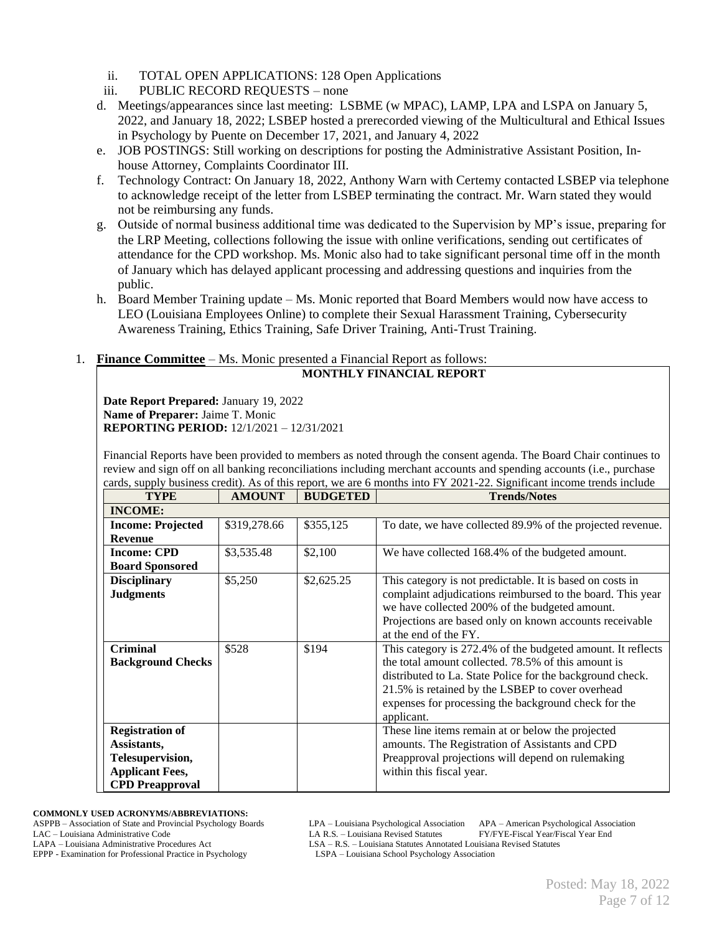- ii. TOTAL OPEN APPLICATIONS: 128 Open Applications
- iii. PUBLIC RECORD REQUESTS none
- d. Meetings/appearances since last meeting: LSBME (w MPAC), LAMP, LPA and LSPA on January 5, 2022, and January 18, 2022; LSBEP hosted a prerecorded viewing of the Multicultural and Ethical Issues in Psychology by Puente on December 17, 2021, and January 4, 2022
- e. JOB POSTINGS: Still working on descriptions for posting the Administrative Assistant Position, Inhouse Attorney, Complaints Coordinator III.
- f. Technology Contract: On January 18, 2022, Anthony Warn with Certemy contacted LSBEP via telephone to acknowledge receipt of the letter from LSBEP terminating the contract. Mr. Warn stated they would not be reimbursing any funds.
- g. Outside of normal business additional time was dedicated to the Supervision by MP's issue, preparing for the LRP Meeting, collections following the issue with online verifications, sending out certificates of attendance for the CPD workshop. Ms. Monic also had to take significant personal time off in the month of January which has delayed applicant processing and addressing questions and inquiries from the public.
- h. Board Member Training update Ms. Monic reported that Board Members would now have access to LEO (Louisiana Employees Online) to complete their Sexual Harassment Training, Cybersecurity Awareness Training, Ethics Training, Safe Driver Training, Anti-Trust Training.

## 1. **Finance Committee** – Ms. Monic presented a Financial Report as follows:

#### **MONTHLY FINANCIAL REPORT**

**Date Report Prepared:** January 19, 2022 **Name of Preparer:** Jaime T. Monic **REPORTING PERIOD:** 12/1/2021 – 12/31/2021

Financial Reports have been provided to members as noted through the consent agenda. The Board Chair continues to review and sign off on all banking reconciliations including merchant accounts and spending accounts (i.e., purchase cards, supply business credit). As of this report, we are 6 months into FY 2021-22. Significant income trends include

| <b>TYPE</b>                                                                                                   | <b>AMOUNT</b> | <b>BUDGETED</b> | aras, suppry custness creately ins or this report, we are o momins like I I 2021 22. Significant income trends meridi<br><b>Trends/Notes</b>                                                                                                                                                              |
|---------------------------------------------------------------------------------------------------------------|---------------|-----------------|-----------------------------------------------------------------------------------------------------------------------------------------------------------------------------------------------------------------------------------------------------------------------------------------------------------|
| <b>INCOME:</b>                                                                                                |               |                 |                                                                                                                                                                                                                                                                                                           |
| <b>Income: Projected</b>                                                                                      | \$319,278.66  | \$355,125       | To date, we have collected 89.9% of the projected revenue.                                                                                                                                                                                                                                                |
| <b>Revenue</b>                                                                                                |               |                 |                                                                                                                                                                                                                                                                                                           |
| <b>Income: CPD</b>                                                                                            | \$3,535.48    | \$2,100         | We have collected 168.4% of the budgeted amount.                                                                                                                                                                                                                                                          |
| <b>Board Sponsored</b>                                                                                        |               |                 |                                                                                                                                                                                                                                                                                                           |
| <b>Disciplinary</b><br><b>Judgments</b>                                                                       | \$5,250       | \$2,625.25      | This category is not predictable. It is based on costs in<br>complaint adjudications reimbursed to the board. This year                                                                                                                                                                                   |
|                                                                                                               |               |                 | we have collected 200% of the budgeted amount.<br>Projections are based only on known accounts receivable<br>at the end of the FY.                                                                                                                                                                        |
| <b>Criminal</b><br><b>Background Checks</b>                                                                   | \$528         | \$194           | This category is 272.4% of the budgeted amount. It reflects<br>the total amount collected. 78.5% of this amount is<br>distributed to La. State Police for the background check.<br>21.5% is retained by the LSBEP to cover overhead<br>expenses for processing the background check for the<br>applicant. |
| <b>Registration of</b><br>Assistants,<br>Telesupervision,<br><b>Applicant Fees,</b><br><b>CPD</b> Preapproval |               |                 | These line items remain at or below the projected<br>amounts. The Registration of Assistants and CPD<br>Preapproval projections will depend on rulemaking<br>within this fiscal year.                                                                                                                     |

**COMMONLY USED ACRONYMS/ABBREVIATIONS:**

ASPPB – Association of State and Provincial Psychology Boards LPA – Louisiana Psychological Association APA – American Psychological Association LAC – Louisiana Administrative Code LA R.S. – Louisiana Revised Statutes FY/FYE-Fiscal Year/Fiscal Year End<br>LAPA – Louisiana Administrative Procedures Act LSA – R.S. – Louisiana Statutes Annotated Louisiana Revised Statute

LSA – R.S. – Louisiana Statutes Annotated Louisiana Revised Statutes LSPA – Louisiana School Psychology Association

EPPP - Examination for Professional Practice in Psychology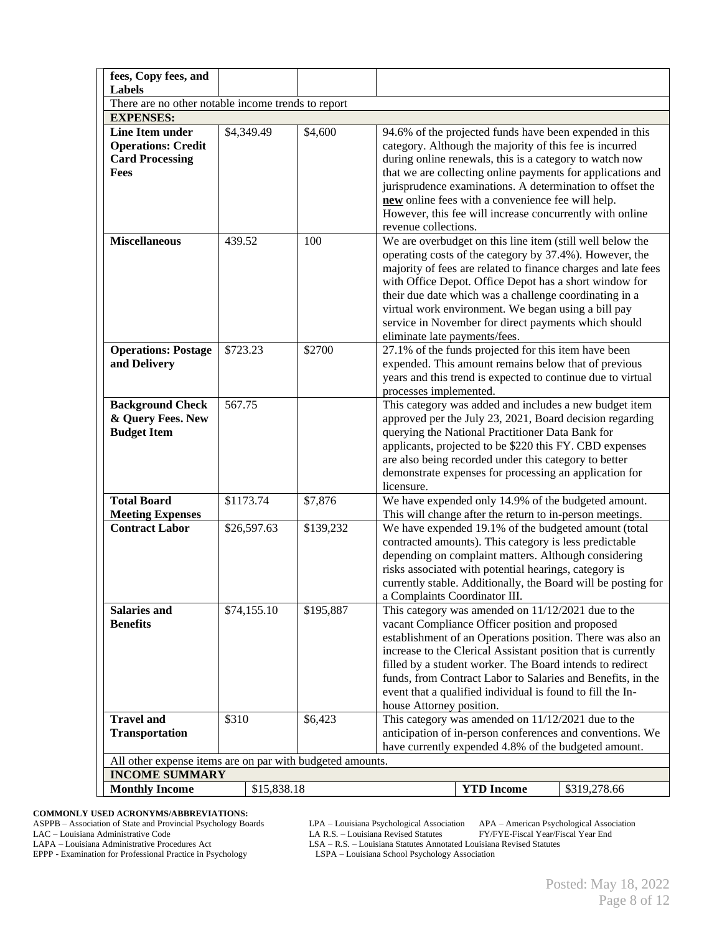| fees, Copy fees, and<br>Labels                                                 |                                                           |           |                                                                                                                                                                                                                                                                                                                                                                                                                                                              |  |
|--------------------------------------------------------------------------------|-----------------------------------------------------------|-----------|--------------------------------------------------------------------------------------------------------------------------------------------------------------------------------------------------------------------------------------------------------------------------------------------------------------------------------------------------------------------------------------------------------------------------------------------------------------|--|
| There are no other notable income trends to report                             |                                                           |           |                                                                                                                                                                                                                                                                                                                                                                                                                                                              |  |
| <b>EXPENSES:</b>                                                               |                                                           |           |                                                                                                                                                                                                                                                                                                                                                                                                                                                              |  |
| Line Item under<br><b>Operations: Credit</b><br><b>Card Processing</b><br>Fees | \$4,349.49                                                | \$4,600   | 94.6% of the projected funds have been expended in this<br>category. Although the majority of this fee is incurred<br>during online renewals, this is a category to watch now<br>that we are collecting online payments for applications and<br>jurisprudence examinations. A determination to offset the<br>new online fees with a convenience fee will help.<br>However, this fee will increase concurrently with online<br>revenue collections.           |  |
| <b>Miscellaneous</b>                                                           | 439.52                                                    | 100       | We are overbudget on this line item (still well below the<br>operating costs of the category by 37.4%). However, the<br>majority of fees are related to finance charges and late fees<br>with Office Depot. Office Depot has a short window for<br>their due date which was a challenge coordinating in a<br>virtual work environment. We began using a bill pay<br>service in November for direct payments which should<br>eliminate late payments/fees.    |  |
| <b>Operations: Postage</b><br>and Delivery                                     | \$723.23                                                  | \$2700    | 27.1% of the funds projected for this item have been<br>expended. This amount remains below that of previous<br>years and this trend is expected to continue due to virtual<br>processes implemented.                                                                                                                                                                                                                                                        |  |
| <b>Background Check</b><br>& Query Fees. New<br><b>Budget Item</b>             | 567.75                                                    |           | This category was added and includes a new budget item<br>approved per the July 23, 2021, Board decision regarding<br>querying the National Practitioner Data Bank for<br>applicants, projected to be \$220 this FY. CBD expenses<br>are also being recorded under this category to better<br>demonstrate expenses for processing an application for<br>licensure.                                                                                           |  |
| <b>Total Board</b><br><b>Meeting Expenses</b>                                  | \$1173.74                                                 | \$7,876   | We have expended only 14.9% of the budgeted amount.<br>This will change after the return to in-person meetings.                                                                                                                                                                                                                                                                                                                                              |  |
| <b>Contract Labor</b>                                                          | \$26,597.63                                               | \$139,232 | We have expended 19.1% of the budgeted amount (total<br>contracted amounts). This category is less predictable<br>depending on complaint matters. Although considering<br>risks associated with potential hearings, category is<br>currently stable. Additionally, the Board will be posting for<br>a Complaints Coordinator III.                                                                                                                            |  |
| <b>Salaries and</b><br><b>Benefits</b>                                         | \$74,155.10                                               | \$195,887 | This category was amended on $11/12/2021$ due to the<br>vacant Compliance Officer position and proposed<br>establishment of an Operations position. There was also an<br>increase to the Clerical Assistant position that is currently<br>filled by a student worker. The Board intends to redirect<br>funds, from Contract Labor to Salaries and Benefits, in the<br>event that a qualified individual is found to fill the In-<br>house Attorney position. |  |
| <b>Travel and</b><br><b>Transportation</b>                                     | \$310                                                     | \$6,423   | This category was amended on $11/12/2021$ due to the<br>anticipation of in-person conferences and conventions. We<br>have currently expended 4.8% of the budgeted amount.                                                                                                                                                                                                                                                                                    |  |
|                                                                                | All other expense items are on par with budgeted amounts. |           |                                                                                                                                                                                                                                                                                                                                                                                                                                                              |  |
| <b>INCOME SUMMARY</b>                                                          |                                                           |           |                                                                                                                                                                                                                                                                                                                                                                                                                                                              |  |
| <b>Monthly Income</b>                                                          | \$15,838.18                                               |           | <b>YTD</b> Income<br>\$319,278.66                                                                                                                                                                                                                                                                                                                                                                                                                            |  |

**COMMONLY USED ACRONYMS/ABBREVIATIONS:** ASPPB – Association of State and Provincial Psychology Boards LPA – Louisiana Psychological Association APA – American Psychological Association LAC – Louisiana Administrative Code LA R.S. – Louisiana Revised Statutes FY/FYE-Fiscal Year/Fiscal Year End

LAPA – Louisiana Administrative Procedures Act LSA – R.S. – Louisiana Statutes Annotated Louisiana Revised Statutes

EPPP - Examination for Professional Practice in Psychology EPPP - Examination for Professional Practice in Psychology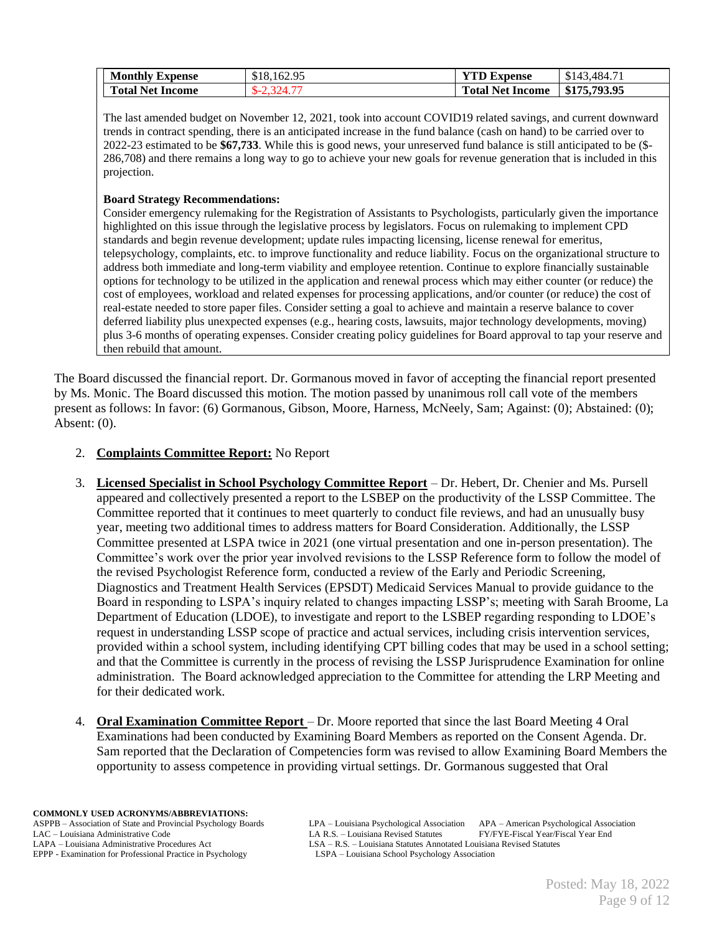| <b>Monthly Expense</b>  | \$18,162.95                      | <b>YTD Expense</b>      | \$143.4<br>.484.71 |
|-------------------------|----------------------------------|-------------------------|--------------------|
| <b>Total Net Income</b> | $\gamma$ 324 $\alpha$<br>$D - 7$ | <b>Total Net Income</b> | \$175,793.95       |

The last amended budget on November 12, 2021, took into account COVID19 related savings, and current downward trends in contract spending, there is an anticipated increase in the fund balance (cash on hand) to be carried over to 2022-23 estimated to be **\$67,733**. While this is good news, your unreserved fund balance is still anticipated to be (\$- 286,708) and there remains a long way to go to achieve your new goals for revenue generation that is included in this projection.

#### **Board Strategy Recommendations:**

Consider emergency rulemaking for the Registration of Assistants to Psychologists, particularly given the importance highlighted on this issue through the legislative process by legislators. Focus on rulemaking to implement CPD standards and begin revenue development; update rules impacting licensing, license renewal for emeritus, telepsychology, complaints, etc. to improve functionality and reduce liability. Focus on the organizational structure to address both immediate and long-term viability and employee retention. Continue to explore financially sustainable options for technology to be utilized in the application and renewal process which may either counter (or reduce) the cost of employees, workload and related expenses for processing applications, and/or counter (or reduce) the cost of real-estate needed to store paper files. Consider setting a goal to achieve and maintain a reserve balance to cover deferred liability plus unexpected expenses (e.g., hearing costs, lawsuits, major technology developments, moving) plus 3-6 months of operating expenses. Consider creating policy guidelines for Board approval to tap your reserve and then rebuild that amount.

The Board discussed the financial report. Dr. Gormanous moved in favor of accepting the financial report presented by Ms. Monic. The Board discussed this motion. The motion passed by unanimous roll call vote of the members present as follows: In favor: (6) Gormanous, Gibson, Moore, Harness, McNeely, Sam; Against: (0); Abstained: (0); Absent: (0).

### 2. **Complaints Committee Report:** No Report

- 3. **Licensed Specialist in School Psychology Committee Report** Dr. Hebert, Dr. Chenier and Ms. Pursell appeared and collectively presented a report to the LSBEP on the productivity of the LSSP Committee. The Committee reported that it continues to meet quarterly to conduct file reviews, and had an unusually busy year, meeting two additional times to address matters for Board Consideration. Additionally, the LSSP Committee presented at LSPA twice in 2021 (one virtual presentation and one in-person presentation). The Committee's work over the prior year involved revisions to the LSSP Reference form to follow the model of the revised Psychologist Reference form, conducted a review of the Early and Periodic Screening, Diagnostics and Treatment Health Services (EPSDT) Medicaid Services Manual to provide guidance to the Board in responding to LSPA's inquiry related to changes impacting LSSP's; meeting with Sarah Broome, La Department of Education (LDOE), to investigate and report to the LSBEP regarding responding to LDOE's request in understanding LSSP scope of practice and actual services, including crisis intervention services, provided within a school system, including identifying CPT billing codes that may be used in a school setting; and that the Committee is currently in the process of revising the LSSP Jurisprudence Examination for online administration. The Board acknowledged appreciation to the Committee for attending the LRP Meeting and for their dedicated work.
- 4. **Oral Examination Committee Report**  Dr. Moore reported that since the last Board Meeting 4 Oral Examinations had been conducted by Examining Board Members as reported on the Consent Agenda. Dr. Sam reported that the Declaration of Competencies form was revised to allow Examining Board Members the opportunity to assess competence in providing virtual settings. Dr. Gormanous suggested that Oral

ASPPB – Association of State and Provincial Psychology Boards LPA – Louisiana Psychological Association APA – American Psychological Association LAC – Louisiana Administrative Code LA R.S. – Louisiana Revised Statutes FY/FYE-Fiscal Year/Fiscal Year End<br>LAPA – Louisiana Administrative Procedures Act LSA – R.S. – Louisiana Statutes Annotated Louisiana Revised Statute LSA – R.S. – Louisiana Statutes Annotated Louisiana Revised Statutes LSPA – Louisiana School Psychology Association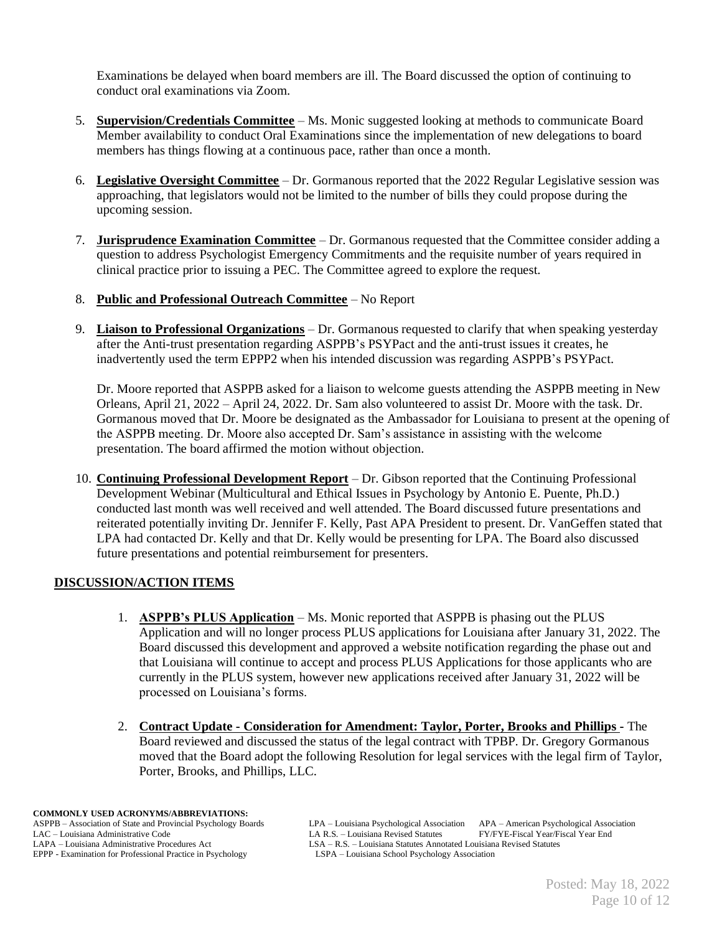Examinations be delayed when board members are ill. The Board discussed the option of continuing to conduct oral examinations via Zoom.

- 5. **Supervision/Credentials Committee** Ms. Monic suggested looking at methods to communicate Board Member availability to conduct Oral Examinations since the implementation of new delegations to board members has things flowing at a continuous pace, rather than once a month.
- 6. **Legislative Oversight Committee** Dr. Gormanous reported that the 2022 Regular Legislative session was approaching, that legislators would not be limited to the number of bills they could propose during the upcoming session.
- 7. **Jurisprudence Examination Committee** Dr. Gormanous requested that the Committee consider adding a question to address Psychologist Emergency Commitments and the requisite number of years required in clinical practice prior to issuing a PEC. The Committee agreed to explore the request.
- 8. **Public and Professional Outreach Committee** No Report
- 9. **Liaison to Professional Organizations** Dr. Gormanous requested to clarify that when speaking yesterday after the Anti-trust presentation regarding ASPPB's PSYPact and the anti-trust issues it creates, he inadvertently used the term EPPP2 when his intended discussion was regarding ASPPB's PSYPact.

Dr. Moore reported that ASPPB asked for a liaison to welcome guests attending the ASPPB meeting in New Orleans, April 21, 2022 – April 24, 2022. Dr. Sam also volunteered to assist Dr. Moore with the task. Dr. Gormanous moved that Dr. Moore be designated as the Ambassador for Louisiana to present at the opening of the ASPPB meeting. Dr. Moore also accepted Dr. Sam's assistance in assisting with the welcome presentation. The board affirmed the motion without objection.

10. **Continuing Professional Development Report** – Dr. Gibson reported that the Continuing Professional Development Webinar (Multicultural and Ethical Issues in Psychology by Antonio E. Puente, Ph.D.) conducted last month was well received and well attended. The Board discussed future presentations and reiterated potentially inviting Dr. Jennifer F. Kelly, Past APA President to present. Dr. VanGeffen stated that LPA had contacted Dr. Kelly and that Dr. Kelly would be presenting for LPA. The Board also discussed future presentations and potential reimbursement for presenters.

## **DISCUSSION/ACTION ITEMS**

- 1. **ASPPB's PLUS Application** Ms. Monic reported that ASPPB is phasing out the PLUS Application and will no longer process PLUS applications for Louisiana after January 31, 2022. The Board discussed this development and approved a website notification regarding the phase out and that Louisiana will continue to accept and process PLUS Applications for those applicants who are currently in the PLUS system, however new applications received after January 31, 2022 will be processed on Louisiana's forms.
- 2. **Contract Update - Consideration for Amendment: Taylor, Porter, Brooks and Phillips -** The Board reviewed and discussed the status of the legal contract with TPBP. Dr. Gregory Gormanous moved that the Board adopt the following Resolution for legal services with the legal firm of Taylor, Porter, Brooks, and Phillips, LLC.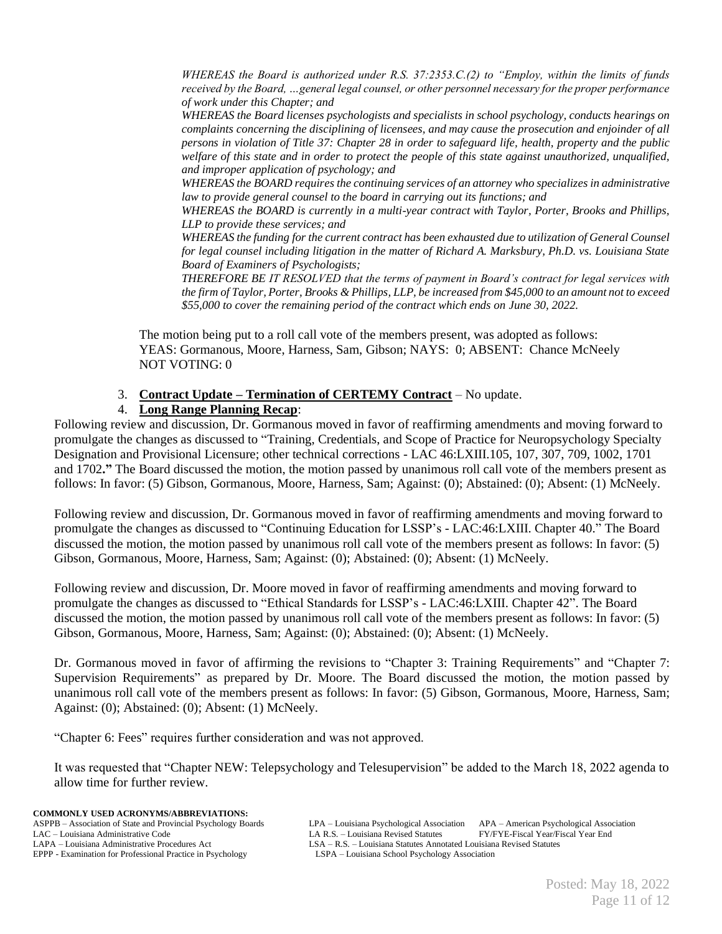*WHEREAS the Board is authorized under R.S. 37:2353.C.(2) to "Employ, within the limits of funds received by the Board, …general legal counsel, or other personnel necessary for the proper performance of work under this Chapter; and*

*WHEREAS the Board licenses psychologists and specialists in school psychology, conducts hearings on complaints concerning the disciplining of licensees, and may cause the prosecution and enjoinder of all persons in violation of Title 37: Chapter 28 in order to safeguard life, health, property and the public welfare of this state and in order to protect the people of this state against unauthorized, unqualified, and improper application of psychology; and* 

*WHEREAS the BOARD requires the continuing services of an attorney who specializes in administrative law to provide general counsel to the board in carrying out its functions; and* 

*WHEREAS the BOARD is currently in a multi-year contract with Taylor, Porter, Brooks and Phillips, LLP to provide these services; and*

*WHEREAS the funding for the current contract has been exhausted due to utilization of General Counsel for legal counsel including litigation in the matter of Richard A. Marksbury, Ph.D. vs. Louisiana State Board of Examiners of Psychologists;* 

*THEREFORE BE IT RESOLVED that the terms of payment in Board's contract for legal services with the firm of Taylor, Porter, Brooks & Phillips, LLP, be increased from \$45,000 to an amount not to exceed \$55,000 to cover the remaining period of the contract which ends on June 30, 2022.* 

The motion being put to a roll call vote of the members present, was adopted as follows: YEAS: Gormanous, Moore, Harness, Sam, Gibson; NAYS: 0; ABSENT: Chance McNeely NOT VOTING: 0

## 3. **Contract Update – Termination of CERTEMY Contract** – No update.

### 4. **Long Range Planning Recap**:

Following review and discussion, Dr. Gormanous moved in favor of reaffirming amendments and moving forward to promulgate the changes as discussed to "Training, Credentials, and Scope of Practice for Neuropsychology Specialty Designation and Provisional Licensure; other technical corrections - LAC 46:LXIII.105, 107, 307, 709, 1002, 1701 and 1702**."** The Board discussed the motion, the motion passed by unanimous roll call vote of the members present as follows: In favor: (5) Gibson, Gormanous, Moore, Harness, Sam; Against: (0); Abstained: (0); Absent: (1) McNeely.

Following review and discussion, Dr. Gormanous moved in favor of reaffirming amendments and moving forward to promulgate the changes as discussed to "Continuing Education for LSSP's - LAC:46:LXIII. Chapter 40." The Board discussed the motion, the motion passed by unanimous roll call vote of the members present as follows: In favor: (5) Gibson, Gormanous, Moore, Harness, Sam; Against: (0); Abstained: (0); Absent: (1) McNeely.

Following review and discussion, Dr. Moore moved in favor of reaffirming amendments and moving forward to promulgate the changes as discussed to "Ethical Standards for LSSP's - LAC:46:LXIII. Chapter 42". The Board discussed the motion, the motion passed by unanimous roll call vote of the members present as follows: In favor: (5) Gibson, Gormanous, Moore, Harness, Sam; Against: (0); Abstained: (0); Absent: (1) McNeely.

Dr. Gormanous moved in favor of affirming the revisions to "Chapter 3: Training Requirements" and "Chapter 7: Supervision Requirements" as prepared by Dr. Moore. The Board discussed the motion, the motion passed by unanimous roll call vote of the members present as follows: In favor: (5) Gibson, Gormanous, Moore, Harness, Sam; Against: (0); Abstained: (0); Absent: (1) McNeely.

"Chapter 6: Fees" requires further consideration and was not approved.

It was requested that "Chapter NEW: Telepsychology and Telesupervision" be added to the March 18, 2022 agenda to allow time for further review.